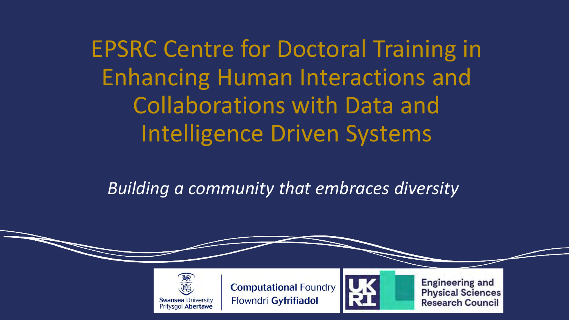EPSRC Centre for Doctoral Training in Enhancing Human Interactions and Collaborations with Data and Intelligence Driven Systems

*Building a community that embraces diversity*



**Computational Foundry** Ffowndri Gyfrifiadol



**Engineering and Physical Sciences Research Council**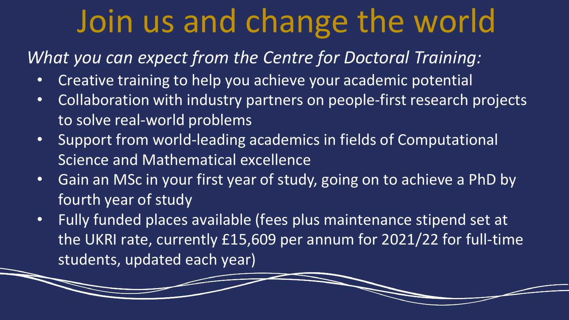## Join us and change the world

## *What you can expect from the Centre for Doctoral Training:*

- Creative training to help you achieve your academic potential
- Collaboration with industry partners on people-first research projects to solve real-world problems
- Support from world-leading academics in fields of Computational Science and Mathematical excellence
- Gain an MSc in your first year of study, going on to achieve a PhD by fourth year of study
- Fully funded places available (fees plus maintenance stipend set at the UKRI rate, currently £15,609 per annum for 2021/22 for full-time students, updated each year)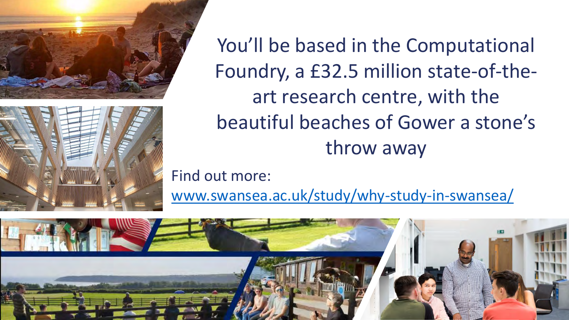



You'll be based in the Computational Foundry, a £32.5 million state-of-theart research centre, with the beautiful beaches of Gower a stone's throw away

Find out more:

[www.swansea.ac.uk/study/why-study-in-swansea/](https://www.swansea.ac.uk/study/why-study-in-swansea/)

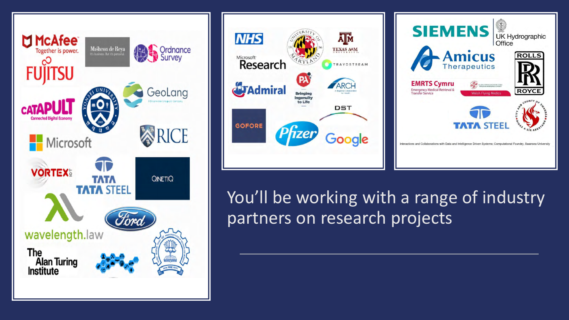





You'll be working with a range of industry partners on research projects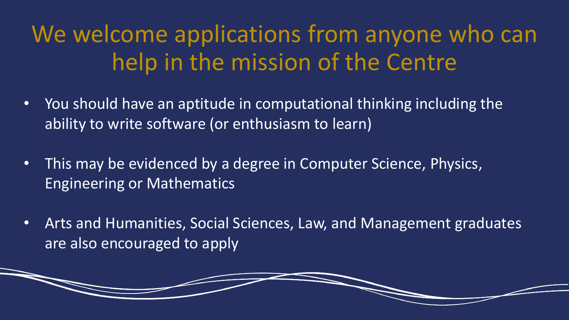## We welcome applications from anyone who can help in the mission of the Centre

- You should have an aptitude in computational thinking including the ability to write software (or enthusiasm to learn)
- This may be evidenced by a degree in Computer Science, Physics, Engineering or Mathematics
- Arts and Humanities, Social Sciences, Law, and Management graduates are also encouraged to apply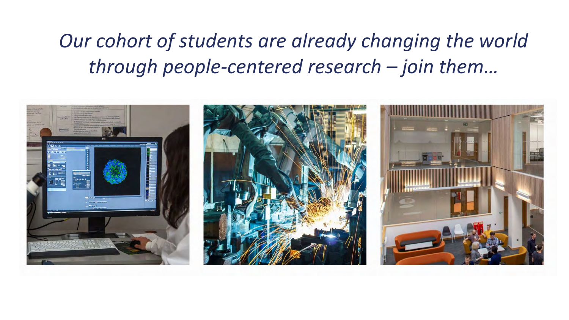*Our cohort of students are already changing the world through people-centered research – join them…*